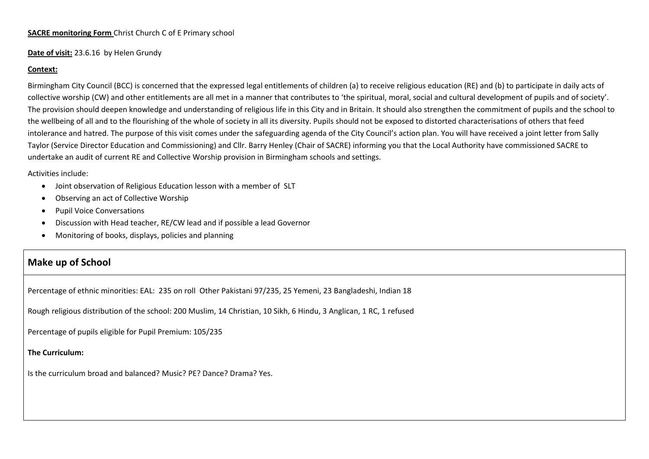## **SACRE monitoring Form** Christ Church C of E Primary school

### **Date of visit:** 23.6.16 by Helen Grundy

### **Context:**

Birmingham City Council (BCC) is concerned that the expressed legal entitlements of children (a) to receive religious education (RE) and (b) to participate in daily acts of collective worship (CW) and other entitlements are all met in <sup>a</sup> manner that contributes to 'the spiritual, moral, social and cultural development of pupils and of society'. The provision should deepen knowledge and understanding of religious life in this City and in Britain. It should also strengthen the commitment of pupils and the school to the wellbeing of all and to the flourishing of the whole of society in all its diversity. Pupils should not be exposed to distorted characterisations of others that feed intolerance and hatred. The purpose of this visit comes under the safeguarding agenda of the City Council's action plan. You will have received <sup>a</sup> joint letter from Sally Taylor (Service Director Education and Commissioning) and Cllr. Barry Henley (Chair of SACRE) informing you that the Local Authority have commissioned SACRE to undertake an audit of current RE and Collective Worship provision in Birmingham schools and settings.

### Activities include:

- Joint observation of Religious Education lesson with <sup>a</sup> member of SLT
- •Observing an act of Collective Worship
- •Pupil Voice Conversations
- •Discussion with Head teacher, RE/CW lead and if possible <sup>a</sup> lead Governor
- •Monitoring of books, displays, policies and planning

# **Make up of School**

Percentage of ethnic minorities: EAL: 235 on roll Other Pakistani 97/235, 25 Yemeni, 23 Bangladeshi, Indian 18

Rough religious distribution of the school: 200 Muslim, 14 Christian, 10 Sikh, 6 Hindu, 3 Anglican, 1 RC, 1 refused

Percentage of pupils eligible for Pupil Premium: 105/235

# **The Curriculum:**

Is the curriculum broad and balanced? Music? PE? Dance? Drama? Yes.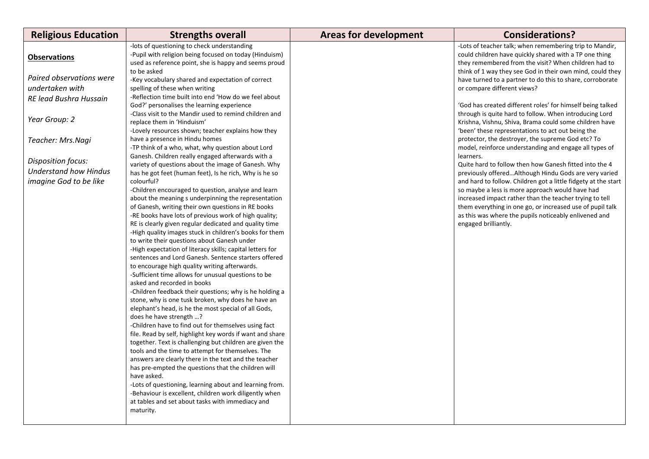| <b>Religious Education</b>                                                   | <b>Strengths overall</b>                                                                                                                                                                                                                                                                                                                                                                                                                                                                                                                                                                                                                                                                                                                                                                                                                                                                                                                                                                                                                                                                                                                                                                                                                                                                                                                                                                                                                                                                                                                                                                         | <b>Areas for development</b> | <b>Considerations?</b>                                                                                                                                                                                                                                                                                                                                                                                                                                                                                               |
|------------------------------------------------------------------------------|--------------------------------------------------------------------------------------------------------------------------------------------------------------------------------------------------------------------------------------------------------------------------------------------------------------------------------------------------------------------------------------------------------------------------------------------------------------------------------------------------------------------------------------------------------------------------------------------------------------------------------------------------------------------------------------------------------------------------------------------------------------------------------------------------------------------------------------------------------------------------------------------------------------------------------------------------------------------------------------------------------------------------------------------------------------------------------------------------------------------------------------------------------------------------------------------------------------------------------------------------------------------------------------------------------------------------------------------------------------------------------------------------------------------------------------------------------------------------------------------------------------------------------------------------------------------------------------------------|------------------------------|----------------------------------------------------------------------------------------------------------------------------------------------------------------------------------------------------------------------------------------------------------------------------------------------------------------------------------------------------------------------------------------------------------------------------------------------------------------------------------------------------------------------|
| <b>Observations</b>                                                          | -lots of questioning to check understanding<br>-Pupil with religion being focused on today (Hinduism)<br>used as reference point, she is happy and seems proud                                                                                                                                                                                                                                                                                                                                                                                                                                                                                                                                                                                                                                                                                                                                                                                                                                                                                                                                                                                                                                                                                                                                                                                                                                                                                                                                                                                                                                   |                              | -Lots of teacher talk; when remembering trip to Mandir,<br>could children have quickly shared with a TP one thing<br>they remembered from the visit? When children had to                                                                                                                                                                                                                                                                                                                                            |
| Paired observations were<br>undertaken with                                  | to be asked<br>-Key vocabulary shared and expectation of correct<br>spelling of these when writing                                                                                                                                                                                                                                                                                                                                                                                                                                                                                                                                                                                                                                                                                                                                                                                                                                                                                                                                                                                                                                                                                                                                                                                                                                                                                                                                                                                                                                                                                               |                              | think of 1 way they see God in their own mind, could they<br>have turned to a partner to do this to share, corroborate<br>or compare different views?                                                                                                                                                                                                                                                                                                                                                                |
| RE lead Bushra Hussain                                                       | -Reflection time built into end 'How do we feel about<br>God?' personalises the learning experience                                                                                                                                                                                                                                                                                                                                                                                                                                                                                                                                                                                                                                                                                                                                                                                                                                                                                                                                                                                                                                                                                                                                                                                                                                                                                                                                                                                                                                                                                              |                              | 'God has created different roles' for himself being talked                                                                                                                                                                                                                                                                                                                                                                                                                                                           |
| Year Group: 2                                                                | -Class visit to the Mandir used to remind children and<br>replace them in 'Hinduism'                                                                                                                                                                                                                                                                                                                                                                                                                                                                                                                                                                                                                                                                                                                                                                                                                                                                                                                                                                                                                                                                                                                                                                                                                                                                                                                                                                                                                                                                                                             |                              | through is quite hard to follow. When introducing Lord<br>Krishna, Vishnu, Shiva, Brama could some children have                                                                                                                                                                                                                                                                                                                                                                                                     |
| Teacher: Mrs.Nagi                                                            | -Lovely resources shown; teacher explains how they<br>have a presence in Hindu homes                                                                                                                                                                                                                                                                                                                                                                                                                                                                                                                                                                                                                                                                                                                                                                                                                                                                                                                                                                                                                                                                                                                                                                                                                                                                                                                                                                                                                                                                                                             |                              | 'been' these representations to act out being the<br>protector, the destroyer, the supreme God etc? To                                                                                                                                                                                                                                                                                                                                                                                                               |
| Disposition focus:<br><b>Understand how Hindus</b><br>imagine God to be like | -TP think of a who, what, why question about Lord<br>Ganesh. Children really engaged afterwards with a<br>variety of questions about the image of Ganesh. Why<br>has he got feet (human feet), Is he rich, Why is he so<br>colourful?<br>-Children encouraged to question, analyse and learn<br>about the meaning s underpinning the representation<br>of Ganesh, writing their own questions in RE books<br>-RE books have lots of previous work of high quality;<br>RE is clearly given regular dedicated and quality time<br>-High quality images stuck in children's books for them<br>to write their questions about Ganesh under<br>-High expectation of literacy skills; capital letters for<br>sentences and Lord Ganesh. Sentence starters offered<br>to encourage high quality writing afterwards.<br>-Sufficient time allows for unusual questions to be<br>asked and recorded in books<br>-Children feedback their questions; why is he holding a<br>stone, why is one tusk broken, why does he have an<br>elephant's head, is he the most special of all Gods,<br>does he have strength ?<br>-Children have to find out for themselves using fact<br>file. Read by self, highlight key words if want and share<br>together. Text is challenging but children are given the<br>tools and the time to attempt for themselves. The<br>answers are clearly there in the text and the teacher<br>has pre-empted the questions that the children will<br>have asked.<br>-Lots of questioning, learning about and learning from.<br>-Behaviour is excellent, children work diligently when |                              | model, reinforce understanding and engage all types of<br>learners.<br>Quite hard to follow then how Ganesh fitted into the 4<br>previously offeredAlthough Hindu Gods are very varied<br>and hard to follow. Children got a little fidgety at the start<br>so maybe a less is more approach would have had<br>increased impact rather than the teacher trying to tell<br>them everything in one go, or increased use of pupil talk<br>as this was where the pupils noticeably enlivened and<br>engaged brilliantly. |
|                                                                              | at tables and set about tasks with immediacy and<br>maturity.                                                                                                                                                                                                                                                                                                                                                                                                                                                                                                                                                                                                                                                                                                                                                                                                                                                                                                                                                                                                                                                                                                                                                                                                                                                                                                                                                                                                                                                                                                                                    |                              |                                                                                                                                                                                                                                                                                                                                                                                                                                                                                                                      |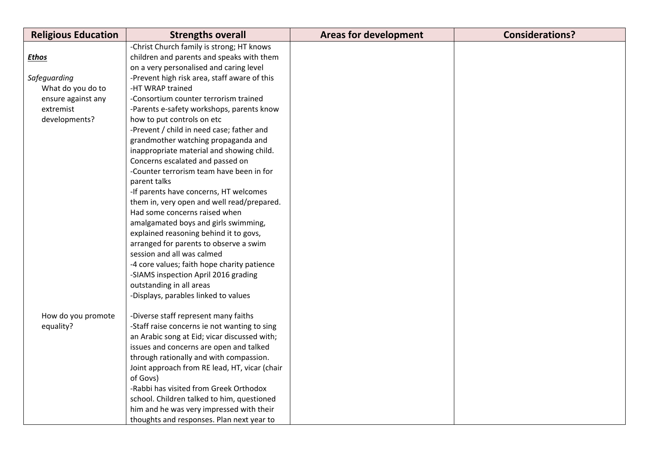| <b>Religious Education</b> | <b>Strengths overall</b>                      | <b>Areas for development</b> | <b>Considerations?</b> |
|----------------------------|-----------------------------------------------|------------------------------|------------------------|
|                            | -Christ Church family is strong; HT knows     |                              |                        |
| <b>Ethos</b>               | children and parents and speaks with them     |                              |                        |
|                            | on a very personalised and caring level       |                              |                        |
| Safeguarding               | -Prevent high risk area, staff aware of this  |                              |                        |
| What do you do to          | -HT WRAP trained                              |                              |                        |
| ensure against any         | -Consortium counter terrorism trained         |                              |                        |
| extremist                  | -Parents e-safety workshops, parents know     |                              |                        |
| developments?              | how to put controls on etc                    |                              |                        |
|                            | -Prevent / child in need case; father and     |                              |                        |
|                            | grandmother watching propaganda and           |                              |                        |
|                            | inappropriate material and showing child.     |                              |                        |
|                            | Concerns escalated and passed on              |                              |                        |
|                            | -Counter terrorism team have been in for      |                              |                        |
|                            | parent talks                                  |                              |                        |
|                            | -If parents have concerns, HT welcomes        |                              |                        |
|                            | them in, very open and well read/prepared.    |                              |                        |
|                            | Had some concerns raised when                 |                              |                        |
|                            | amalgamated boys and girls swimming,          |                              |                        |
|                            | explained reasoning behind it to govs,        |                              |                        |
|                            | arranged for parents to observe a swim        |                              |                        |
|                            | session and all was calmed                    |                              |                        |
|                            | -4 core values; faith hope charity patience   |                              |                        |
|                            | -SIAMS inspection April 2016 grading          |                              |                        |
|                            | outstanding in all areas                      |                              |                        |
|                            | -Displays, parables linked to values          |                              |                        |
|                            |                                               |                              |                        |
| How do you promote         | -Diverse staff represent many faiths          |                              |                        |
| equality?                  | -Staff raise concerns ie not wanting to sing  |                              |                        |
|                            | an Arabic song at Eid; vicar discussed with;  |                              |                        |
|                            | issues and concerns are open and talked       |                              |                        |
|                            | through rationally and with compassion.       |                              |                        |
|                            | Joint approach from RE lead, HT, vicar (chair |                              |                        |
|                            | of Govs)                                      |                              |                        |
|                            | -Rabbi has visited from Greek Orthodox        |                              |                        |
|                            | school. Children talked to him, questioned    |                              |                        |
|                            | him and he was very impressed with their      |                              |                        |
|                            | thoughts and responses. Plan next year to     |                              |                        |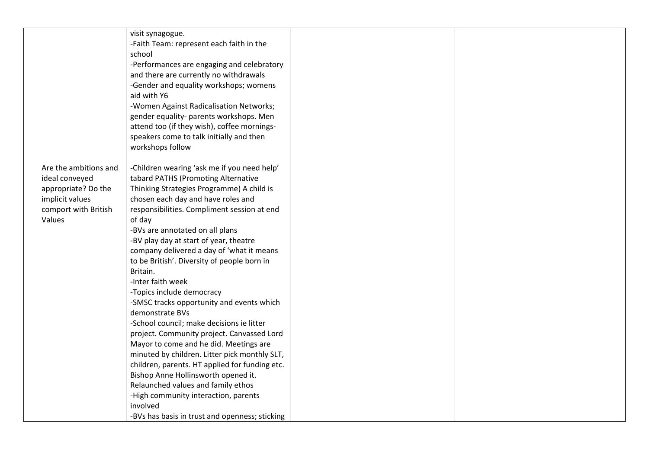|                       | visit synagogue.                               |  |
|-----------------------|------------------------------------------------|--|
|                       | -Faith Team: represent each faith in the       |  |
|                       | school                                         |  |
|                       | -Performances are engaging and celebratory     |  |
|                       | and there are currently no withdrawals         |  |
|                       | -Gender and equality workshops; womens         |  |
|                       | aid with Y6                                    |  |
|                       | -Women Against Radicalisation Networks;        |  |
|                       | gender equality- parents workshops. Men        |  |
|                       | attend too (if they wish), coffee mornings-    |  |
|                       | speakers come to talk initially and then       |  |
|                       | workshops follow                               |  |
|                       |                                                |  |
| Are the ambitions and | -Children wearing 'ask me if you need help'    |  |
| ideal conveyed        | tabard PATHS (Promoting Alternative            |  |
| appropriate? Do the   | Thinking Strategies Programme) A child is      |  |
| implicit values       | chosen each day and have roles and             |  |
| comport with British  | responsibilities. Compliment session at end    |  |
| Values                | of day                                         |  |
|                       | -BVs are annotated on all plans                |  |
|                       | -BV play day at start of year, theatre         |  |
|                       | company delivered a day of 'what it means      |  |
|                       | to be British'. Diversity of people born in    |  |
|                       | Britain.                                       |  |
|                       | -Inter faith week                              |  |
|                       | -Topics include democracy                      |  |
|                       | -SMSC tracks opportunity and events which      |  |
|                       | demonstrate BVs                                |  |
|                       | -School council; make decisions ie litter      |  |
|                       | project. Community project. Canvassed Lord     |  |
|                       | Mayor to come and he did. Meetings are         |  |
|                       | minuted by children. Litter pick monthly SLT,  |  |
|                       | children, parents. HT applied for funding etc. |  |
|                       | Bishop Anne Hollinsworth opened it.            |  |
|                       | Relaunched values and family ethos             |  |
|                       | -High community interaction, parents           |  |
|                       | involved                                       |  |
|                       | -BVs has basis in trust and openness; sticking |  |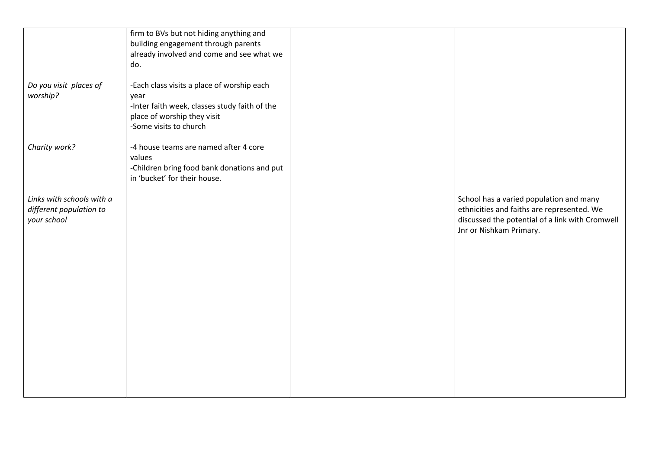| Do you visit places of<br>worship?                                  | firm to BVs but not hiding anything and<br>building engagement through parents<br>already involved and come and see what we<br>do.<br>-Each class visits a place of worship each<br>year<br>-Inter faith week, classes study faith of the<br>place of worship they visit<br>-Some visits to church |                                                                                                                                                                     |
|---------------------------------------------------------------------|----------------------------------------------------------------------------------------------------------------------------------------------------------------------------------------------------------------------------------------------------------------------------------------------------|---------------------------------------------------------------------------------------------------------------------------------------------------------------------|
| Charity work?                                                       | -4 house teams are named after 4 core<br>values<br>-Children bring food bank donations and put<br>in 'bucket' for their house.                                                                                                                                                                     |                                                                                                                                                                     |
| Links with schools with a<br>different population to<br>your school |                                                                                                                                                                                                                                                                                                    | School has a varied population and many<br>ethnicities and faiths are represented. We<br>discussed the potential of a link with Cromwell<br>Jnr or Nishkam Primary. |
|                                                                     |                                                                                                                                                                                                                                                                                                    |                                                                                                                                                                     |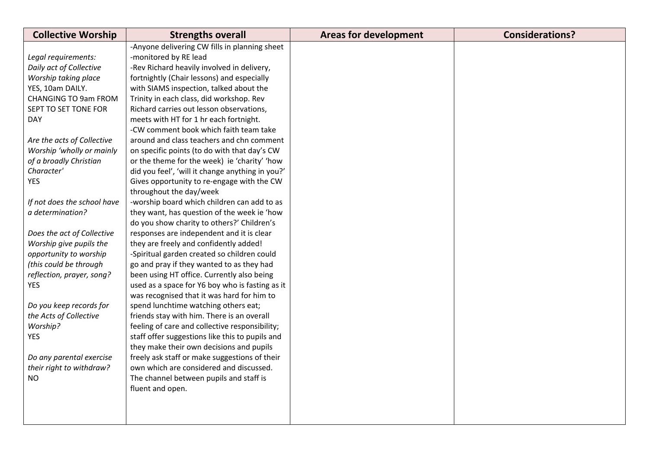| <b>Collective Worship</b>   | <b>Strengths overall</b>                         | <b>Areas for development</b> | <b>Considerations?</b> |
|-----------------------------|--------------------------------------------------|------------------------------|------------------------|
|                             | -Anyone delivering CW fills in planning sheet    |                              |                        |
| Legal requirements:         | -monitored by RE lead                            |                              |                        |
| Daily act of Collective     | -Rev Richard heavily involved in delivery,       |                              |                        |
| Worship taking place        | fortnightly (Chair lessons) and especially       |                              |                        |
| YES, 10am DAILY.            | with SIAMS inspection, talked about the          |                              |                        |
| <b>CHANGING TO 9am FROM</b> | Trinity in each class, did workshop. Rev         |                              |                        |
| SEPT TO SET TONE FOR        | Richard carries out lesson observations,         |                              |                        |
| <b>DAY</b>                  | meets with HT for 1 hr each fortnight.           |                              |                        |
|                             | -CW comment book which faith team take           |                              |                        |
| Are the acts of Collective  | around and class teachers and chn comment        |                              |                        |
| Worship 'wholly or mainly   | on specific points (to do with that day's CW     |                              |                        |
| of a broadly Christian      | or the theme for the week) ie 'charity' 'how     |                              |                        |
| Character'                  | did you feel', 'will it change anything in you?' |                              |                        |
| <b>YES</b>                  | Gives opportunity to re-engage with the CW       |                              |                        |
|                             | throughout the day/week                          |                              |                        |
| If not does the school have | -worship board which children can add to as      |                              |                        |
| a determination?            | they want, has question of the week ie 'how      |                              |                        |
|                             | do you show charity to others?' Children's       |                              |                        |
| Does the act of Collective  | responses are independent and it is clear        |                              |                        |
| Worship give pupils the     | they are freely and confidently added!           |                              |                        |
| opportunity to worship      | -Spiritual garden created so children could      |                              |                        |
| (this could be through      | go and pray if they wanted to as they had        |                              |                        |
| reflection, prayer, song?   | been using HT office. Currently also being       |                              |                        |
| YES                         | used as a space for Y6 boy who is fasting as it  |                              |                        |
|                             | was recognised that it was hard for him to       |                              |                        |
| Do you keep records for     | spend lunchtime watching others eat;             |                              |                        |
| the Acts of Collective      | friends stay with him. There is an overall       |                              |                        |
| Worship?                    | feeling of care and collective responsibility;   |                              |                        |
| <b>YES</b>                  | staff offer suggestions like this to pupils and  |                              |                        |
|                             | they make their own decisions and pupils         |                              |                        |
| Do any parental exercise    | freely ask staff or make suggestions of their    |                              |                        |
| their right to withdraw?    | own which are considered and discussed.          |                              |                        |
| <b>NO</b>                   | The channel between pupils and staff is          |                              |                        |
|                             | fluent and open.                                 |                              |                        |
|                             |                                                  |                              |                        |
|                             |                                                  |                              |                        |
|                             |                                                  |                              |                        |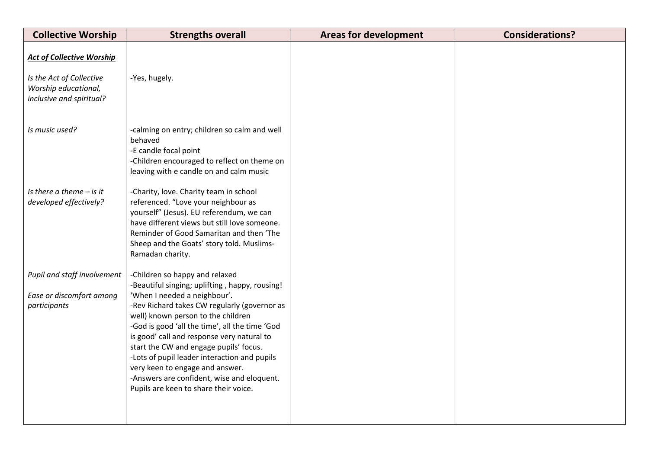| <b>Collective Worship</b>                                                                                        | <b>Strengths overall</b>                                                                                                                                                                                                                                                                                                                                                                                                               | <b>Areas for development</b> | <b>Considerations?</b> |
|------------------------------------------------------------------------------------------------------------------|----------------------------------------------------------------------------------------------------------------------------------------------------------------------------------------------------------------------------------------------------------------------------------------------------------------------------------------------------------------------------------------------------------------------------------------|------------------------------|------------------------|
| <b>Act of Collective Worship</b><br>Is the Act of Collective<br>Worship educational,<br>inclusive and spiritual? | -Yes, hugely.                                                                                                                                                                                                                                                                                                                                                                                                                          |                              |                        |
| Is music used?                                                                                                   | -calming on entry; children so calm and well<br>behaved<br>-E candle focal point<br>-Children encouraged to reflect on theme on<br>leaving with e candle on and calm music                                                                                                                                                                                                                                                             |                              |                        |
| Is there a theme $-$ is it<br>developed effectively?                                                             | -Charity, love. Charity team in school<br>referenced. "Love your neighbour as<br>yourself" (Jesus). EU referendum, we can<br>have different views but still love someone.<br>Reminder of Good Samaritan and then 'The<br>Sheep and the Goats' story told. Muslims-<br>Ramadan charity.                                                                                                                                                 |                              |                        |
| Pupil and staff involvement                                                                                      | -Children so happy and relaxed<br>-Beautiful singing; uplifting, happy, rousing!                                                                                                                                                                                                                                                                                                                                                       |                              |                        |
| Ease or discomfort among<br>participants                                                                         | 'When I needed a neighbour'.<br>-Rev Richard takes CW regularly (governor as<br>well) known person to the children<br>-God is good 'all the time', all the time 'God<br>is good' call and response very natural to<br>start the CW and engage pupils' focus.<br>-Lots of pupil leader interaction and pupils<br>very keen to engage and answer.<br>-Answers are confident, wise and eloquent.<br>Pupils are keen to share their voice. |                              |                        |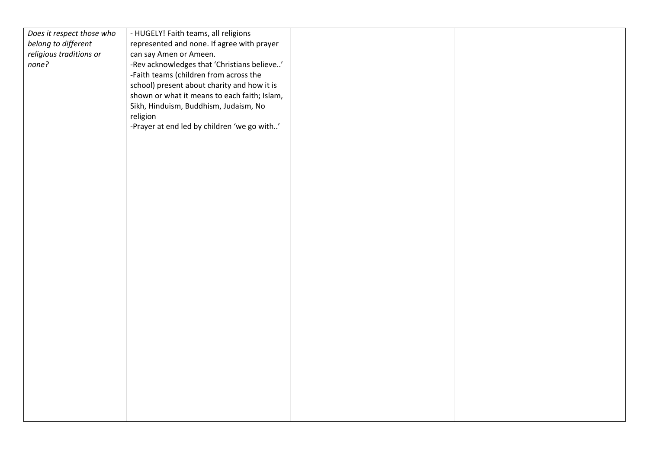| Does it respect those who | - HUGELY! Faith teams, all religions         |  |
|---------------------------|----------------------------------------------|--|
| belong to different       | represented and none. If agree with prayer   |  |
| religious traditions or   | can say Amen or Ameen.                       |  |
| none?                     | -Rev acknowledges that 'Christians believe'  |  |
|                           |                                              |  |
|                           | -Faith teams (children from across the       |  |
|                           | school) present about charity and how it is  |  |
|                           | shown or what it means to each faith; Islam, |  |
|                           | Sikh, Hinduism, Buddhism, Judaism, No        |  |
|                           | religion                                     |  |
|                           | -Prayer at end led by children 'we go with'  |  |
|                           |                                              |  |
|                           |                                              |  |
|                           |                                              |  |
|                           |                                              |  |
|                           |                                              |  |
|                           |                                              |  |
|                           |                                              |  |
|                           |                                              |  |
|                           |                                              |  |
|                           |                                              |  |
|                           |                                              |  |
|                           |                                              |  |
|                           |                                              |  |
|                           |                                              |  |
|                           |                                              |  |
|                           |                                              |  |
|                           |                                              |  |
|                           |                                              |  |
|                           |                                              |  |
|                           |                                              |  |
|                           |                                              |  |
|                           |                                              |  |
|                           |                                              |  |
|                           |                                              |  |
|                           |                                              |  |
|                           |                                              |  |
|                           |                                              |  |
|                           |                                              |  |
|                           |                                              |  |
|                           |                                              |  |
|                           |                                              |  |
|                           |                                              |  |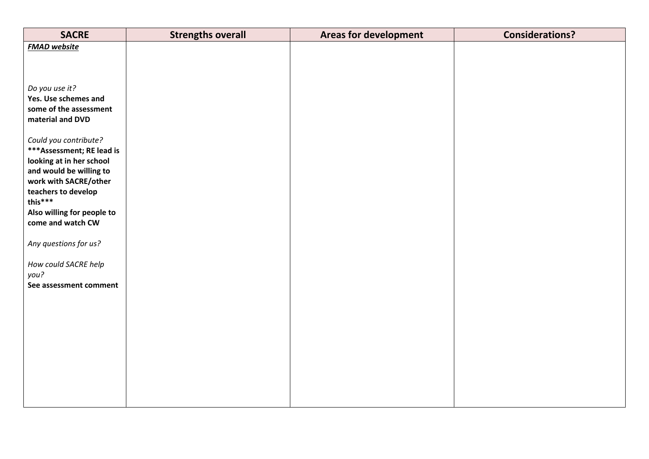| <b>SACRE</b>                                        | <b>Strengths overall</b> | <b>Areas for development</b> | <b>Considerations?</b> |
|-----------------------------------------------------|--------------------------|------------------------------|------------------------|
| <b>FMAD</b> website                                 |                          |                              |                        |
|                                                     |                          |                              |                        |
|                                                     |                          |                              |                        |
| Do you use it?                                      |                          |                              |                        |
| Yes. Use schemes and                                |                          |                              |                        |
| some of the assessment                              |                          |                              |                        |
| material and DVD                                    |                          |                              |                        |
|                                                     |                          |                              |                        |
| Could you contribute?                               |                          |                              |                        |
| *** Assessment; RE lead is                          |                          |                              |                        |
| looking at in her school<br>and would be willing to |                          |                              |                        |
| work with SACRE/other                               |                          |                              |                        |
| teachers to develop                                 |                          |                              |                        |
| this***                                             |                          |                              |                        |
| Also willing for people to                          |                          |                              |                        |
| come and watch CW                                   |                          |                              |                        |
| Any questions for us?                               |                          |                              |                        |
|                                                     |                          |                              |                        |
| How could SACRE help                                |                          |                              |                        |
| you?                                                |                          |                              |                        |
| See assessment comment                              |                          |                              |                        |
|                                                     |                          |                              |                        |
|                                                     |                          |                              |                        |
|                                                     |                          |                              |                        |
|                                                     |                          |                              |                        |
|                                                     |                          |                              |                        |
|                                                     |                          |                              |                        |
|                                                     |                          |                              |                        |
|                                                     |                          |                              |                        |
|                                                     |                          |                              |                        |
|                                                     |                          |                              |                        |